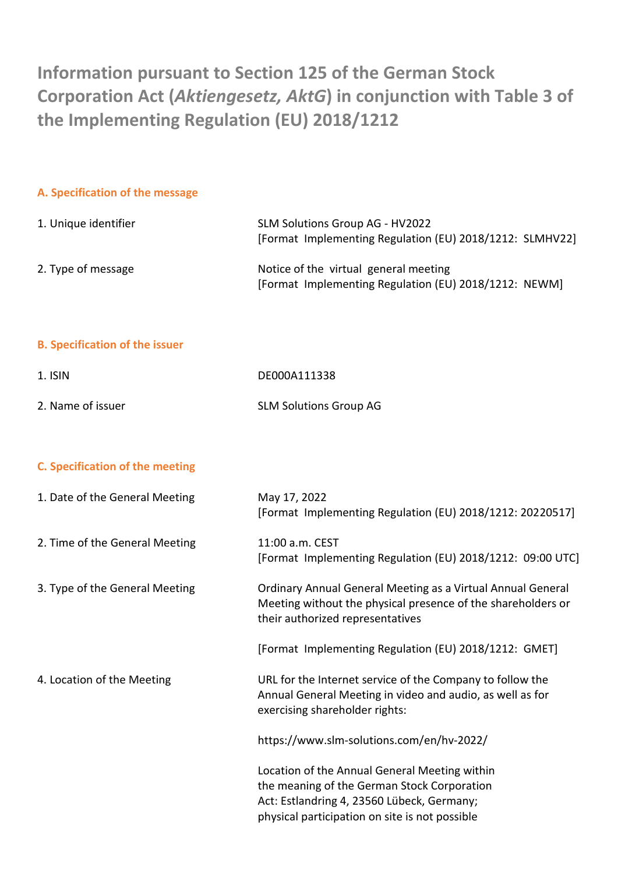**Information pursuant to Section 125 of the German Stock Corporation Act (***Aktiengesetz, AktG***) in conjunction with Table 3 of the Implementing Regulation (EU) 2018/1212**

#### **A. Specification of the message**

| 1. Unique identifier | SLM Solutions Group AG - HV2022                          |
|----------------------|----------------------------------------------------------|
|                      | [Format Implementing Regulation (EU) 2018/1212: SLMHV22] |
| 2. Type of message   | Notice of the virtual general meeting                    |
|                      | [Format Implementing Regulation (EU) 2018/1212: NEWM]    |

#### **B. Specification of the issuer**

| 1. ISIN           | DE000A111338                  |
|-------------------|-------------------------------|
| 2. Name of issuer | <b>SLM Solutions Group AG</b> |

## **C. Specification of the meeting**

| 1. Date of the General Meeting | May 17, 2022<br>[Format Implementing Regulation (EU) 2018/1212: 20220517]                                                                                                                    |
|--------------------------------|----------------------------------------------------------------------------------------------------------------------------------------------------------------------------------------------|
| 2. Time of the General Meeting | 11:00 a.m. CEST<br>[Format Implementing Regulation (EU) 2018/1212: 09:00 UTC]                                                                                                                |
| 3. Type of the General Meeting | Ordinary Annual General Meeting as a Virtual Annual General<br>Meeting without the physical presence of the shareholders or<br>their authorized representatives                              |
|                                | [Format Implementing Regulation (EU) 2018/1212: GMET]                                                                                                                                        |
| 4. Location of the Meeting     | URL for the Internet service of the Company to follow the<br>Annual General Meeting in video and audio, as well as for<br>exercising shareholder rights:                                     |
|                                | https://www.slm-solutions.com/en/hv-2022/                                                                                                                                                    |
|                                | Location of the Annual General Meeting within<br>the meaning of the German Stock Corporation<br>Act: Estlandring 4, 23560 Lübeck, Germany;<br>physical participation on site is not possible |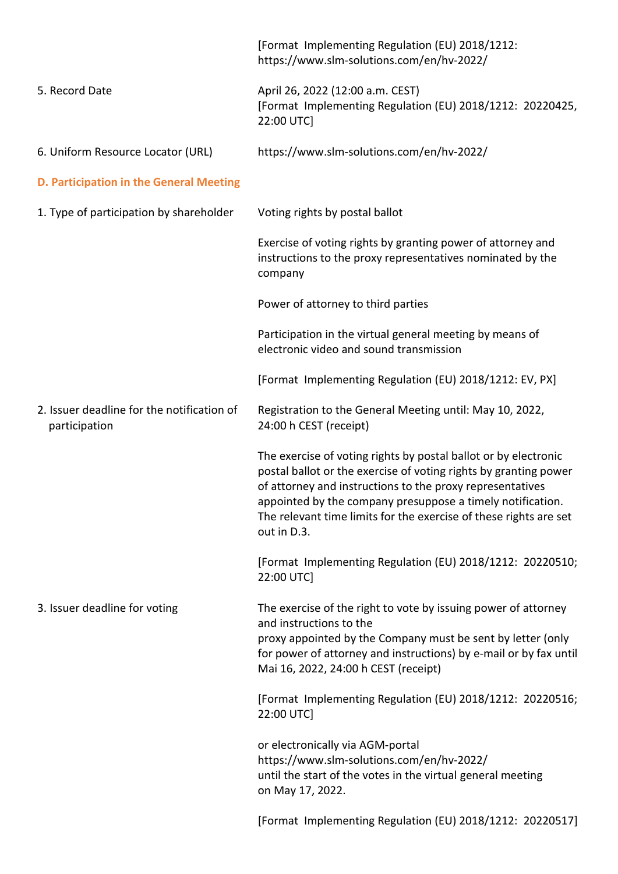|                                                             | [Format Implementing Regulation (EU) 2018/1212:<br>https://www.slm-solutions.com/en/hv-2022/                                                                                                                                                                                                                                                       |
|-------------------------------------------------------------|----------------------------------------------------------------------------------------------------------------------------------------------------------------------------------------------------------------------------------------------------------------------------------------------------------------------------------------------------|
| 5. Record Date                                              | April 26, 2022 (12:00 a.m. CEST)<br>[Format Implementing Regulation (EU) 2018/1212: 20220425,<br>22:00 UTC]                                                                                                                                                                                                                                        |
| 6. Uniform Resource Locator (URL)                           | https://www.slm-solutions.com/en/hv-2022/                                                                                                                                                                                                                                                                                                          |
| D. Participation in the General Meeting                     |                                                                                                                                                                                                                                                                                                                                                    |
| 1. Type of participation by shareholder                     | Voting rights by postal ballot                                                                                                                                                                                                                                                                                                                     |
|                                                             | Exercise of voting rights by granting power of attorney and<br>instructions to the proxy representatives nominated by the<br>company                                                                                                                                                                                                               |
|                                                             | Power of attorney to third parties                                                                                                                                                                                                                                                                                                                 |
|                                                             | Participation in the virtual general meeting by means of<br>electronic video and sound transmission                                                                                                                                                                                                                                                |
|                                                             | [Format Implementing Regulation (EU) 2018/1212: EV, PX]                                                                                                                                                                                                                                                                                            |
| 2. Issuer deadline for the notification of<br>participation | Registration to the General Meeting until: May 10, 2022,<br>24:00 h CEST (receipt)                                                                                                                                                                                                                                                                 |
|                                                             | The exercise of voting rights by postal ballot or by electronic<br>postal ballot or the exercise of voting rights by granting power<br>of attorney and instructions to the proxy representatives<br>appointed by the company presuppose a timely notification.<br>The relevant time limits for the exercise of these rights are set<br>out in D.3. |
|                                                             | [Format Implementing Regulation (EU) 2018/1212: 20220510;<br>22:00 UTC                                                                                                                                                                                                                                                                             |
| 3. Issuer deadline for voting                               | The exercise of the right to vote by issuing power of attorney<br>and instructions to the<br>proxy appointed by the Company must be sent by letter (only<br>for power of attorney and instructions) by e-mail or by fax until<br>Mai 16, 2022, 24:00 h CEST (receipt)                                                                              |
|                                                             | [Format Implementing Regulation (EU) 2018/1212: 20220516;<br>22:00 UTC                                                                                                                                                                                                                                                                             |
|                                                             | or electronically via AGM-portal<br>https://www.slm-solutions.com/en/hv-2022/<br>until the start of the votes in the virtual general meeting<br>on May 17, 2022.                                                                                                                                                                                   |
|                                                             | [Format Implementing Regulation (EU) 2018/1212: 20220517]                                                                                                                                                                                                                                                                                          |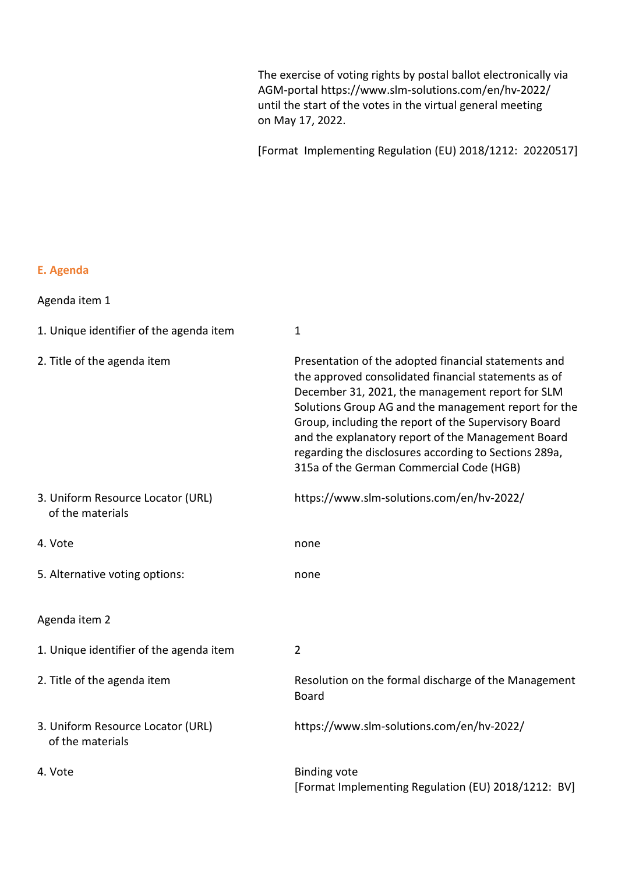The exercise of voting rights by postal ballot electronically via AGM-portal https://www.slm-solutions.com/en/hv-2022/ until the start of the votes in the virtual general meeting on May 17, 2022.

[Format Implementing Regulation (EU) 2018/1212: 20220517]

# **E. Agenda**

| 1. Unique identifier of the agenda item               | $\mathbf{1}$                                                                                                                                                                                                                                                                                                                                                                                                                                |
|-------------------------------------------------------|---------------------------------------------------------------------------------------------------------------------------------------------------------------------------------------------------------------------------------------------------------------------------------------------------------------------------------------------------------------------------------------------------------------------------------------------|
| 2. Title of the agenda item                           | Presentation of the adopted financial statements and<br>the approved consolidated financial statements as of<br>December 31, 2021, the management report for SLM<br>Solutions Group AG and the management report for the<br>Group, including the report of the Supervisory Board<br>and the explanatory report of the Management Board<br>regarding the disclosures according to Sections 289a,<br>315a of the German Commercial Code (HGB) |
| 3. Uniform Resource Locator (URL)<br>of the materials | https://www.slm-solutions.com/en/hv-2022/                                                                                                                                                                                                                                                                                                                                                                                                   |
| 4. Vote                                               | none                                                                                                                                                                                                                                                                                                                                                                                                                                        |
| 5. Alternative voting options:                        | none                                                                                                                                                                                                                                                                                                                                                                                                                                        |
| Agenda item 2                                         |                                                                                                                                                                                                                                                                                                                                                                                                                                             |
| 1. Unique identifier of the agenda item               | $\overline{2}$                                                                                                                                                                                                                                                                                                                                                                                                                              |
| 2. Title of the agenda item                           | Resolution on the formal discharge of the Management<br>Board                                                                                                                                                                                                                                                                                                                                                                               |
| 3. Uniform Resource Locator (URL)<br>of the materials | https://www.slm-solutions.com/en/hv-2022/                                                                                                                                                                                                                                                                                                                                                                                                   |
| 4. Vote                                               | <b>Binding vote</b><br>[Format Implementing Regulation (EU) 2018/1212: BV]                                                                                                                                                                                                                                                                                                                                                                  |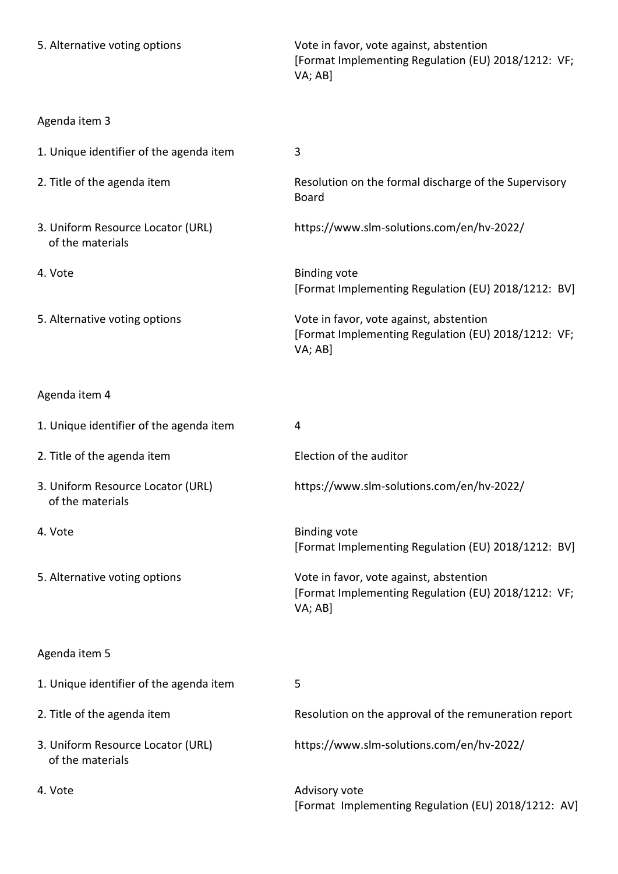| 5. Alternative voting options                         | Vote in favor, vote against, abstention<br>[Format Implementing Regulation (EU) 2018/1212: VF;<br>VA; AB] |
|-------------------------------------------------------|-----------------------------------------------------------------------------------------------------------|
| Agenda item 3                                         |                                                                                                           |
| 1. Unique identifier of the agenda item               | 3                                                                                                         |
| 2. Title of the agenda item                           | Resolution on the formal discharge of the Supervisory<br><b>Board</b>                                     |
| 3. Uniform Resource Locator (URL)<br>of the materials | https://www.slm-solutions.com/en/hv-2022/                                                                 |
| 4. Vote                                               | <b>Binding vote</b><br>[Format Implementing Regulation (EU) 2018/1212: BV]                                |
| 5. Alternative voting options                         | Vote in favor, vote against, abstention<br>[Format Implementing Regulation (EU) 2018/1212: VF;<br>VA; AB] |
| Agenda item 4                                         |                                                                                                           |
| 1. Unique identifier of the agenda item               | 4                                                                                                         |
| 2. Title of the agenda item                           | Election of the auditor                                                                                   |
| 3. Uniform Resource Locator (URL)<br>of the materials | https://www.slm-solutions.com/en/hv-2022/                                                                 |
| 4. Vote                                               | <b>Binding vote</b><br>[Format Implementing Regulation (EU) 2018/1212: BV]                                |
| 5. Alternative voting options                         | Vote in favor, vote against, abstention<br>[Format Implementing Regulation (EU) 2018/1212: VF;<br>VA; AB] |
| Agenda item 5                                         |                                                                                                           |
| 1. Unique identifier of the agenda item               | 5                                                                                                         |
| 2. Title of the agenda item                           | Resolution on the approval of the remuneration report                                                     |
| 3. Uniform Resource Locator (URL)<br>of the materials | https://www.slm-solutions.com/en/hv-2022/                                                                 |
| 4. Vote                                               | Advisory vote<br>[Format Implementing Regulation (EU) 2018/1212: AV]                                      |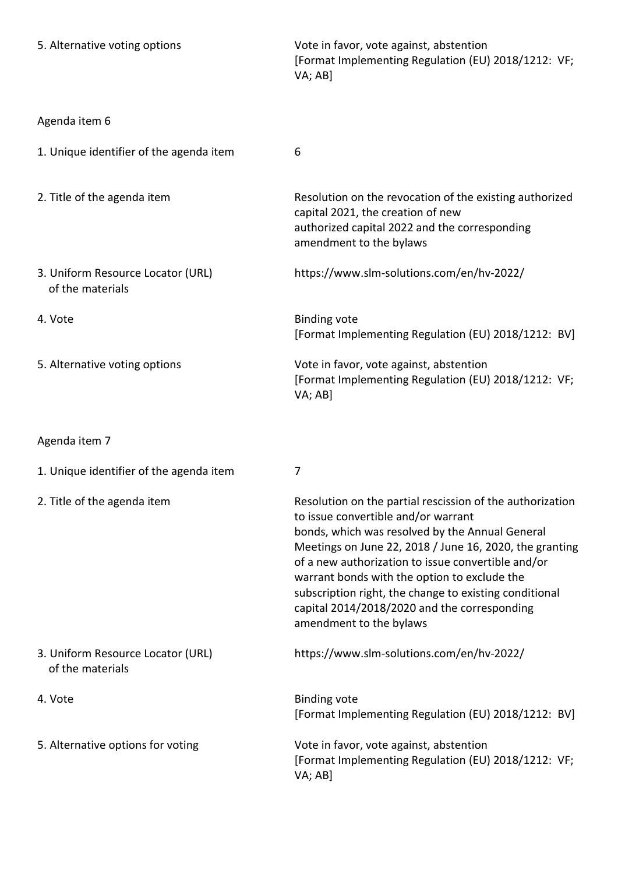| 5. Alternative voting options                         | Vote in favor, vote against, abstention<br>[Format Implementing Regulation (EU) 2018/1212: VF;<br>VA; AB]                                                                                                                                                                                                                                                                                                                                                 |
|-------------------------------------------------------|-----------------------------------------------------------------------------------------------------------------------------------------------------------------------------------------------------------------------------------------------------------------------------------------------------------------------------------------------------------------------------------------------------------------------------------------------------------|
| Agenda item 6                                         |                                                                                                                                                                                                                                                                                                                                                                                                                                                           |
| 1. Unique identifier of the agenda item               | 6                                                                                                                                                                                                                                                                                                                                                                                                                                                         |
| 2. Title of the agenda item                           | Resolution on the revocation of the existing authorized<br>capital 2021, the creation of new<br>authorized capital 2022 and the corresponding<br>amendment to the bylaws                                                                                                                                                                                                                                                                                  |
| 3. Uniform Resource Locator (URL)<br>of the materials | https://www.slm-solutions.com/en/hv-2022/                                                                                                                                                                                                                                                                                                                                                                                                                 |
| 4. Vote                                               | <b>Binding vote</b><br>[Format Implementing Regulation (EU) 2018/1212: BV]                                                                                                                                                                                                                                                                                                                                                                                |
| 5. Alternative voting options                         | Vote in favor, vote against, abstention<br>[Format Implementing Regulation (EU) 2018/1212: VF;<br>VA; AB]                                                                                                                                                                                                                                                                                                                                                 |
| Agenda item 7                                         |                                                                                                                                                                                                                                                                                                                                                                                                                                                           |
| 1. Unique identifier of the agenda item               | 7                                                                                                                                                                                                                                                                                                                                                                                                                                                         |
| 2. Title of the agenda item                           | Resolution on the partial rescission of the authorization<br>to issue convertible and/or warrant<br>bonds, which was resolved by the Annual General<br>Meetings on June 22, 2018 / June 16, 2020, the granting<br>of a new authorization to issue convertible and/or<br>warrant bonds with the option to exclude the<br>subscription right, the change to existing conditional<br>capital 2014/2018/2020 and the corresponding<br>amendment to the bylaws |
| 3. Uniform Resource Locator (URL)<br>of the materials | https://www.slm-solutions.com/en/hv-2022/                                                                                                                                                                                                                                                                                                                                                                                                                 |
| 4. Vote                                               | <b>Binding vote</b><br>[Format Implementing Regulation (EU) 2018/1212: BV]                                                                                                                                                                                                                                                                                                                                                                                |
| 5. Alternative options for voting                     | Vote in favor, vote against, abstention<br>[Format Implementing Regulation (EU) 2018/1212: VF;<br>VA; AB]                                                                                                                                                                                                                                                                                                                                                 |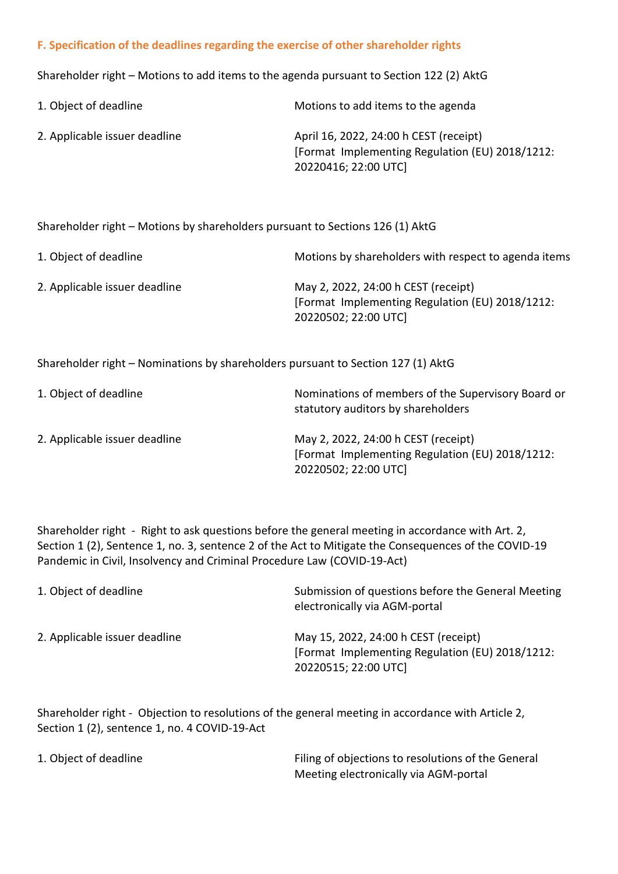## **F. Specification of the deadlines regarding the exercise of other shareholder rights**

Shareholder right – Motions to add items to the agenda pursuant to Section 122 (2) AktG

| 1. Object of deadline         | Motions to add items to the agenda                                                                                |
|-------------------------------|-------------------------------------------------------------------------------------------------------------------|
| 2. Applicable issuer deadline | April 16, 2022, 24:00 h CEST (receipt)<br>[Format Implementing Regulation (EU) 2018/1212:<br>20220416; 22:00 UTC] |

Shareholder right – Motions by shareholders pursuant to Sections 126 (1) AktG

| 1. Object of deadline         | Motions by shareholders with respect to agenda items                                                           |
|-------------------------------|----------------------------------------------------------------------------------------------------------------|
| 2. Applicable issuer deadline | May 2, 2022, 24:00 h CEST (receipt)<br>[Format Implementing Regulation (EU) 2018/1212:<br>20220502; 22:00 UTC] |

Shareholder right – Nominations by shareholders pursuant to Section 127 (1) AktG

| 1. Object of deadline         | Nominations of members of the Supervisory Board or<br>statutory auditors by shareholders                       |
|-------------------------------|----------------------------------------------------------------------------------------------------------------|
| 2. Applicable issuer deadline | May 2, 2022, 24:00 h CEST (receipt)<br>[Format Implementing Regulation (EU) 2018/1212:<br>20220502; 22:00 UTC] |

Shareholder right - Right to ask questions before the general meeting in accordance with Art. 2, Section 1 (2), Sentence 1, no. 3, sentence 2 of the Act to Mitigate the Consequences of the COVID-19 Pandemic in Civil, Insolvency and Criminal Procedure Law (COVID-19-Act)

| 1. Object of deadline         | Submission of questions before the General Meeting<br>electronically via AGM-portal                             |
|-------------------------------|-----------------------------------------------------------------------------------------------------------------|
| 2. Applicable issuer deadline | May 15, 2022, 24:00 h CEST (receipt)<br>[Format Implementing Regulation (EU) 2018/1212:<br>20220515; 22:00 UTC] |

Shareholder right - Objection to resolutions of the general meeting in accordance with Article 2, Section 1 (2), sentence 1, no. 4 COVID-19-Act

| 1. Object of deadline | Filing of objections to resolutions of the General |
|-----------------------|----------------------------------------------------|
|                       | Meeting electronically via AGM-portal              |